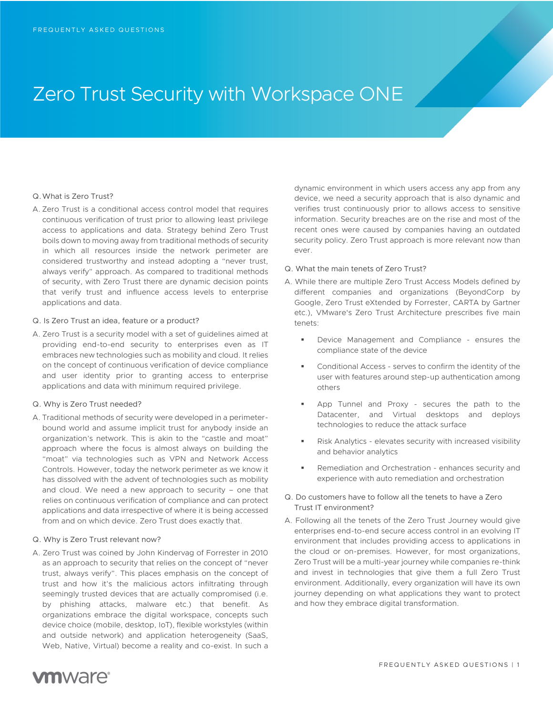# Zero Trust Security with Workspace ONE

# Q.What is Zero Trust?

- A. Zero Trust is a conditional access control model that requires continuous verification of trust prior to allowing least privilege access to applications and data. Strategy behind Zero Trust boils down to moving away from traditional methods of security in which all resources inside the network perimeter are considered trustworthy and instead adopting a "never trust, always verify" approach. As compared to traditional methods of security, with Zero Trust there are dynamic decision points that verify trust and influence access levels to enterprise applications and data.
- Q. Is Zero Trust an idea, feature or a product?
- A. Zero Trust is a security model with a set of guidelines aimed at providing end-to-end security to enterprises even as IT embraces new technologies such as mobility and cloud. It relies on the concept of continuous verification of device compliance and user identity prior to granting access to enterprise applications and data with minimum required privilege.
- Q. Why is Zero Trust needed?
- A. Traditional methods of security were developed in a perimeterbound world and assume implicit trust for anybody inside an organization's network. This is akin to the "castle and moat" approach where the focus is almost always on building the "moat" via technologies such as VPN and Network Access Controls. However, today the network perimeter as we know it has dissolved with the advent of technologies such as mobility and cloud. We need a new approach to security – one that relies on continuous verification of compliance and can protect applications and data irrespective of where it is being accessed from and on which device. Zero Trust does exactly that.

## Q. Why is Zero Trust relevant now?

A. Zero Trust was coined by John Kindervag of Forrester in 2010 as an approach to security that relies on the concept of "never trust, always verify". This places emphasis on the concept of trust and how it's the malicious actors infiltrating through seemingly trusted devices that are actually compromised (i.e. by phishing attacks, malware etc.) that benefit. As organizations embrace the digital workspace, concepts such device choice (mobile, desktop, IoT), flexible workstyles (within and outside network) and application heterogeneity (SaaS, Web, Native, Virtual) become a reality and co-exist. In such a

dynamic environment in which users access any app from any device, we need a security approach that is also dynamic and verifies trust continuously prior to allows access to sensitive information. Security breaches are on the rise and most of the recent ones were caused by companies having an outdated security policy. Zero Trust approach is more relevant now than ever.

- Q. What the main tenets of Zero Trust?
- A. While there are multiple Zero Trust Access Models defined by different companies and organizations (BeyondCorp by Google, Zero Trust eXtended by Forrester, CARTA by Gartner etc.), VMware's Zero Trust Architecture prescribes five main tenets:
	- Device Management and Compliance ensures the compliance state of the device
	- Conditional Access serves to confirm the identity of the user with features around step-up authentication among others
	- App Tunnel and Proxy secures the path to the Datacenter, and Virtual desktops and deploys technologies to reduce the attack surface
	- Risk Analytics elevates security with increased visibility and behavior analytics
	- Remediation and Orchestration enhances security and experience with auto remediation and orchestration
- Q. Do customers have to follow all the tenets to have a Zero Trust IT environment?
- A. Following all the tenets of the Zero Trust Journey would give enterprises end-to-end secure access control in an evolving IT environment that includes providing access to applications in the cloud or on-premises. However, for most organizations, Zero Trust will be a multi-year journey while companies re-think and invest in technologies that give them a full Zero Trust environment. Additionally, every organization will have its own journey depending on what applications they want to protect and how they embrace digital transformation.